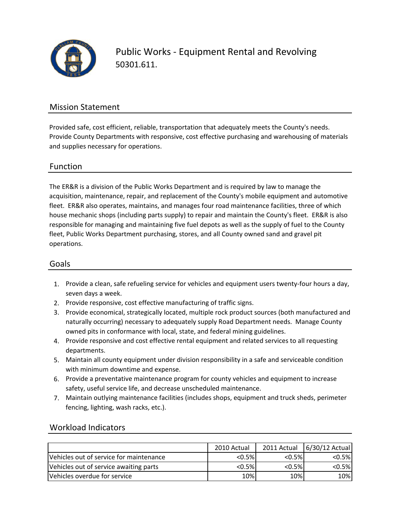

Public Works ‐ Equipment Rental and Revolving 50301.611.

### Mission Statement

Provided safe, cost efficient, reliable, transportation that adequately meets the County's needs. Provide County Departments with responsive, cost effective purchasing and warehousing of materials and supplies necessary for operations.

### Function

The ER&R is a division of the Public Works Department and is required by law to manage the acquisition, maintenance, repair, and replacement of the County's mobile equipment and automotive fleet. ER&R also operates, maintains, and manages four road maintenance facilities, three of which house mechanic shops (including parts supply) to repair and maintain the County's fleet. ER&R is also responsible for managing and maintaining five fuel depots as well as the supply of fuel to the County fleet, Public Works Department purchasing, stores, and all County owned sand and gravel pit operations.

### Goals

- 1. Provide a clean, safe refueling service for vehicles and equipment users twenty‐four hours a day, seven days a week.
- 2. Provide responsive, cost effective manufacturing of traffic signs.
- 3. Provide economical, strategically located, multiple rock product sources (both manufactured and naturally occurring) necessary to adequately supply Road Department needs. Manage County owned pits in conformance with local, state, and federal mining guidelines.
- 4. Provide responsive and cost effective rental equipment and related services to all requesting departments.
- 5. Maintain all county equipment under division responsibility in a safe and serviceable condition with minimum downtime and expense.
- 6. Provide a preventative maintenance program for county vehicles and equipment to increase safety, useful service life, and decrease unscheduled maintenance.
- 7. Maintain outlying maintenance facilities (includes shops, equipment and truck sheds, perimeter fencing, lighting, wash racks, etc.).

### Workload Indicators

|                                         | 2010 Actual |           | 2011 Actual   6/30/12 Actual |
|-----------------------------------------|-------------|-----------|------------------------------|
| Vehicles out of service for maintenance | $< 0.5\%$   | $< 0.5\%$ | $< 0.5\%$                    |
| Vehicles out of service awaiting parts  | $< 0.5\%$   | $< 0.5\%$ | $< 0.5\%$                    |
| Vehicles overdue for service            | 10%         | 10%       | 10%                          |